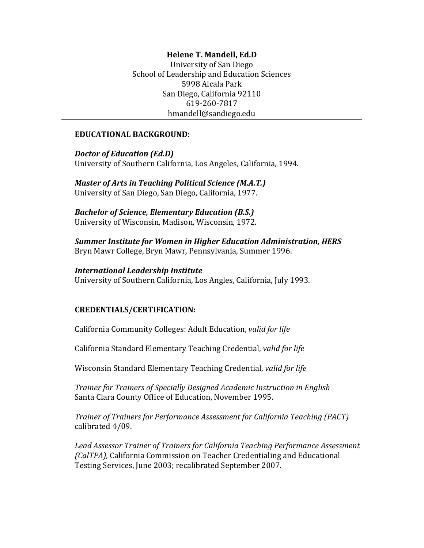# **Helene T. Mandell, Ed.D.**

University of San Diego School of Leadership and Education Sciences 5998 Alcala Park San Diego, California 92110 619-260-7817 hmandell@sandiego.edu

#### **EDUCATIONAL BACKGROUND:**

*Doctor of Education (Ed.D)* University of Southern California, Los Angeles, California, 1994.

*Master of Arts in Teaching Political Science (M.A.T.)* University of San Diego, San Diego, California, 1977.

*Bachelor of Science, Elementary Education (B.S.)* University of Wisconsin, Madison, Wisconsin, 1972.

**Summer Institute for Women in Higher Education Administration, HERS** Bryn Mawr College, Bryn Mawr, Pennsylvania, Summer 1996.

#### *International&Leadership&Institute*

University of Southern California, Los Angles, California, July 1993.

#### **CREDENTIALS/CERTIFICATION:**

California Community Colleges: Adult Education, *valid for life* 

California Standard Elementary Teaching Credential, valid for life

Wisconsin Standard Elementary Teaching Credential, valid for life

*Trainer!for!Trainers!of!Specially Designed!Academic!Instruction!in!English* Santa Clara County Office of Education, November 1995.

*Trainer of Trainers for Performance Assessment for California Teaching (PACT)* calibrated 4/09.

Lead Assessor Trainer of Trainers for California Teaching Performance Assessment *(CalTPA),* California Commission on Teacher Credentialing and Educational Testing Services, June 2003; recalibrated September 2007.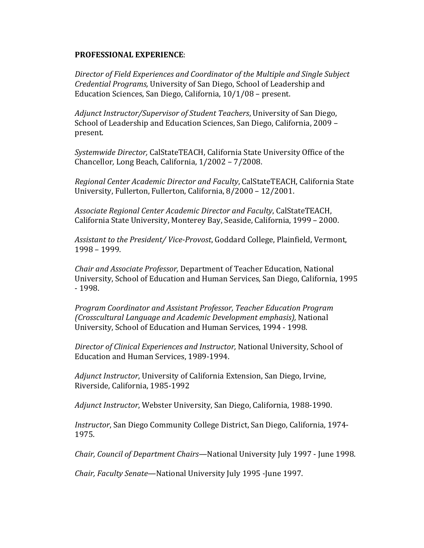#### **PROFESSIONAL EXPERIENCE:**

*Director!of!Field!Experiences and!Coordinator!of!the!Multiple!and!Single!Subject! Credential Programs, University of San Diego, School of Leadership and* Education Sciences, San Diego, California,  $10/1/08$  – present.

*Adjunct Instructor/Supervisor of Student Teachers*, University of San Diego, School of Leadership and Education Sciences, San Diego, California, 2009 – present.

Systemwide Director, CalStateTEACH, California State University Office of the Chancellor, Long Beach, California, 1/2002 – 7/2008.

Regional Center Academic Director and Faculty, CalStateTEACH, California State University, Fullerton, Fullerton, California, 8/2000 - 12/2001.

Associate Regional Center Academic Director and Faculty, CalStateTEACH, California State University, Monterey Bay, Seaside, California, 1999 – 2000.

*Assistant to the President/ Vice-Provost, Goddard College, Plainfield, Vermont,* 1998 – 1999.

*Chair!and!Associate!Professor,* Department\*of\*Teacher\*Education,\*National\* University, School of Education and Human Services, San Diego, California, 1995 E 1998.

*Program!Coordinator!and!Assistant!Professor,!Teacher!Education!Program (Crosscultural Language and Academic Development emphasis),* National University, School of Education and Human Services, 1994 - 1998.

*Director of Clinical Experiences and Instructor, National University, School of* Education and Human Services, 1989-1994.

Adjunct Instructor, University of California Extension, San Diego, Irvine, Riverside, California, 1985-1992

*Adjunct Instructor*, Webster University, San Diego, California, 1988-1990.

*Instructor*, San Diego Community College District, San Diego, California, 1974-1975.

*Chair, Council of Department Chairs*—National University July 1997 - June 1998.

*Chair, Faculty Senate*—National University July 1995 - June 1997.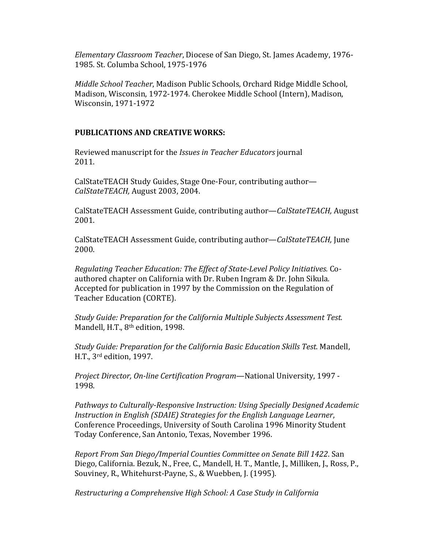*Elementary Classroom Teacher*, Diocese of San Diego, St. James Academy, 1976-1985. St. Columba School, 1975-1976

*Middle School Teacher, Madison Public Schools, Orchard Ridge Middle School,* Madison, Wisconsin, 1972-1974. Cherokee Middle School (Intern), Madison, Wisconsin, 1971-1972

## **PUBLICATIONS AND CREATIVE WORKS:**

Reviewed manuscript for the *Issues in Teacher Educators* journal 2011.

CalStateTEACH Study Guides, Stage One-Four, contributing author— *CalStateTEACH,!*August\*2003,\*2004.

CalStateTEACH Assessment Guide, contributing author—*CalStateTEACH*, August 2001.\*

CalStateTEACH Assessment Guide, contributing author—*CalStateTEACH*, June 2000.\*

*Regulating Teacher Education: The Effect of State-Level Policy Initiatives.* Coauthored chapter on California with Dr. Ruben Ingram & Dr. John Sikula. Accepted for publication in 1997 by the Commission on the Regulation of Teacher Education (CORTE).

*Study Guide: Preparation for the California Multiple Subjects Assessment Test.* Mandell, H.T., 8<sup>th</sup> edition, 1998.

*Study Guide: Preparation for the California Basic Education Skills Test. Mandell,* H.T.,  $3^{\text{rd}}$  edition, 1997.

*Project Director, On-line Certification Program—National University, 1997 -*1998.

*Pathways to Culturally-Responsive Instruction: Using Specially Designed Academic Instruction in English (SDAIE) Strategies for the English Language Learner,* Conference Proceedings, University of South Carolina 1996 Minority Student Today Conference, San Antonio, Texas, November 1996.

*Report From San Diego/Imperial Counties Committee on Senate Bill 1422. San* Diego, California. Bezuk, N., Free, C., Mandell, H. T., Mantle, J., Milliken, J., Ross, P., Souviney, R., Whitehurst-Payne, S., & Wuebben, J. (1995).

*Restructuring!a!Comprehensive!High!School:!A!Case!Study!in!California*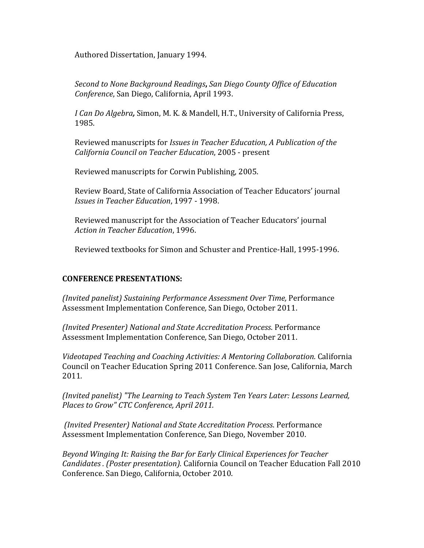Authored Dissertation, January 1994.

*Second!to!None!Background!Readings***,%***San!Diego!County!Office!of!Education! Conference, San Diego, California, April 1993.* 

*I Can Do Algebra, Simon, M.K. & Mandell, H.T., University of California Press,* 1985.

Reviewed manuscripts for *Issues in Teacher Education, A Publication of the* **California Council on Teacher Education, 2005 - present** 

Reviewed manuscripts for Corwin Publishing, 2005.

Review Board, State of California Association of Teacher Educators' journal *Issues in Teacher Education*, 1997 - 1998.

Reviewed manuscript for the Association of Teacher Educators' journal Action in Teacher Education, 1996.

Reviewed textbooks for Simon and Schuster and Prentice-Hall, 1995-1996.

### **CONFERENCE PRESENTATIONS:**

*(Invited panelist) Sustaining Performance Assessment Over Time, Performance* Assessment Implementation Conference, San Diego, October 2011.

*(Invited!Presenter) National!and!State!Accreditation!Process*. Performance\* Assessment Implementation Conference, San Diego, October 2011.

*Videotaped!Teaching!and!Coaching!Activities:!A!Mentoring!Collaboration.!*California\* Council on Teacher Education Spring 2011 Conference. San Jose, California, March 2011*.*

*(Invited panelist) "The Learning to Teach System Ten Years Later: Lessons Learned,* Places to Grow" CTC Conference, April 2011.

*(Invited!Presenter) National!and!State!Accreditation!Process*. Performance\* Assessment Implementation Conference, San Diego, November 2010.

*Beyond Winging It: Raising the Bar for Early Clinical Experiences for Teacher Candidates . (Poster presentation).* California Council on Teacher Education Fall 2010 Conference. San Diego, California, October 2010.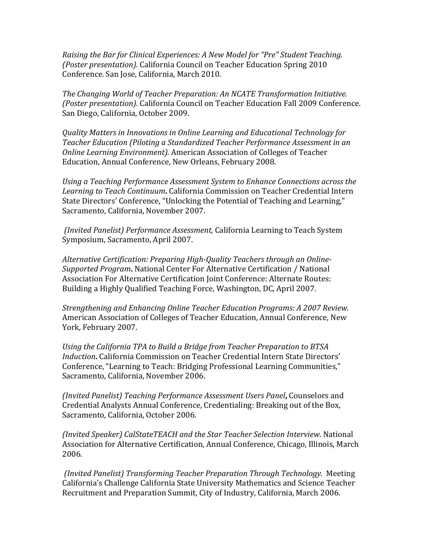*Raising the Bar for Clinical Experiences: A New Model for "Pre" Student Teaching. (Poster presentation).* California Council on Teacher Education Spring 2010 Conference. San Jose, California, March 2010.

*The Changing World of Teacher Preparation: An NCATE Transformation Initiative. (Poster presentation).* California Council on Teacher Education Fall 2009 Conference. San Diego, California, October 2009.

*Quality!Matters!in!Innovations!in!Online!Learning!and!Educational!Technology!for! Teacher Education (Piloting a Standardized Teacher Performance Assessment in an Online Learning Environment).* American Association of Colleges of Teacher Education, Annual Conference, New Orleans, February 2008.

Using a Teaching Performance Assessment System to Enhance Connections across the Learning to Teach Continuum. California Commission on Teacher Credential Intern State Directors' Conference, "Unlocking the Potential of Teaching and Learning," Sacramento, California, November 2007.

*(Invited Panelist) Performance Assessment, California Learning to Teach System* Symposium, Sacramento, April 2007.

*Alternative Certification: Preparing High-Quality Teachers through an Online-Supported Program*. National Center For Alternative Certification / National Association For Alternative Certification Joint Conference: Alternate Routes: Building a Highly Qualified Teaching Force, Washington, DC, April 2007.

*Strengthening!and!Enhancing!Online!Teacher!Education Programs:!A!2007!Review.* American Association of Colleges of Teacher Education, Annual Conference, New York, February 2007.

*Using the California TPA to Build a Bridge from Teacher Preparation to BTSA* Induction. California Commission on Teacher Credential Intern State Directors' Conference, "Learning to Teach: Bridging Professional Learning Communities," Sacramento, California, November 2006.

*(Invited Panelist) Teaching Performance Assessment Users Panel, Counselors and* Credential Analysts Annual Conference, Credentialing: Breaking out of the Box, Sacramento, California, October 2006.

*(Invited Speaker) CalStateTEACH and the Star Teacher Selection Interview. National* Association for Alternative Certification, Annual Conference, Chicago, Illinois, March 2006.

*(Invited!Panelist) Transforming!Teacher!Preparation!Through!Technology.* Meeting\* California's Challenge California State University Mathematics and Science Teacher Recruitment and Preparation Summit, City of Industry, California, March 2006.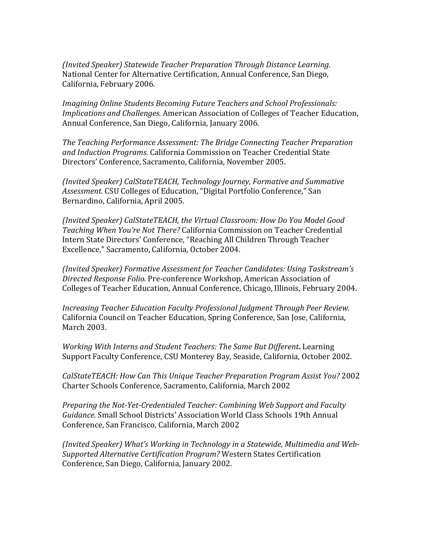*(Invited Speaker) Statewide Teacher Preparation Through Distance Learning.* National Center for Alternative Certification, Annual Conference, San Diego, California, February 2006.

*Imagining!Online!Students!Becoming!Future!Teachers and!School!Professionals:! Implications and Challenges.* American Association of Colleges of Teacher Education, Annual Conference, San Diego, California, January 2006.

The Teaching Performance Assessment: The Bridge Connecting Teacher Preparation and Induction Programs. California Commission on Teacher Credential State Directors' Conference, Sacramento, California, November 2005.

*(Invited!Speaker)!CalStateTEACH,!Technology!Journey,!Formative!and!Summative!* Assessment. CSU Colleges of Education, "Digital Portfolio Conference," San Bernardino, California, April 2005.

*(Invited Speaker) CalStateTEACH, the Virtual Classroom: How Do You Model Good Teaching When You're Not There?* California Commission on Teacher Credential Intern State Directors' Conference, "Reaching All Children Through Teacher Excellence," Sacramento, California, October 2004.

*(Invited!Speaker)!Formative!Assessment!for!Teacher!Candidates:!Using!Taskstream's* **Directed Response Folio. Pre-conference Workshop, American Association of** Colleges of Teacher Education, Annual Conference, Chicago, Illinois, February 2004.

*Increasing Teacher Education Faculty Professional Judgment Through Peer Review.* California Council on Teacher Education, Spring Conference, San Jose, California, March 2003.

*Working With Interns and Student Teachers: The Same But Different. Learning* Support Faculty Conference, CSU Monterey Bay, Seaside, California, October 2002.

*CalStateTEACH: How Can This Unique Teacher Preparation Program Assist You?* 2002 Charter Schools Conference, Sacramento, California, March 2002

*Preparing the Not-Yet-Credentialed Teacher: Combining Web Support and Faculty* Guidance. Small School Districts' Association World Class Schools 19th Annual Conference, San Francisco, California, March 2002

*(Invited Speaker) What's Working in Technology in a Statewide, Multimedia and Web-***Supported Alternative Certification Program? Western States Certification** Conference, San Diego, California, January 2002.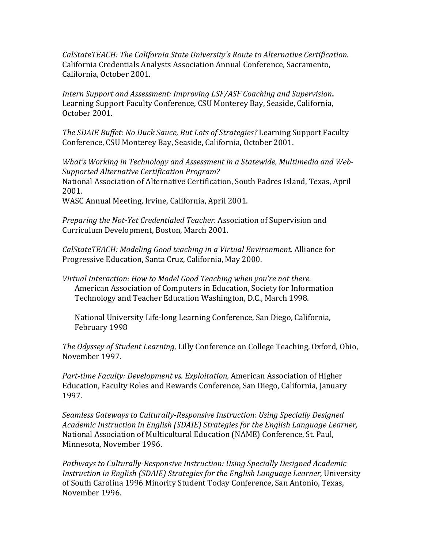*CalStateTEACH: The California State University's Route to Alternative Certification.* California Credentials Analysts Association Annual Conference, Sacramento, California, October 2001.

*Intern!Support!and!Assessment:!Improving!LSF/ASF!Coaching!and!Supervision***.%** Learning Support Faculty Conference, CSU Monterey Bay, Seaside, California, October 2001.

*The SDAIE Buffet: No Duck Sauce, But Lots of Strategies? Learning Support Faculty* Conference, CSU Monterey Bay, Seaside, California, October 2001.

*What's Working in Technology and Assessment in a Statewide, Multimedia and Web-Supported!Alternative!Certification!Program?* National Association of Alternative Certification, South Padres Island, Texas, April 2001.

WASC Annual Meeting, Irvine, California, April 2001.

*Preparing the Not-Yet Credentialed Teacher. Association of Supervision and* Curriculum Development, Boston, March 2001.

*CalStateTEACH: Modeling Good teaching in a Virtual Environment. Alliance for* Progressive Education, Santa Cruz, California, May 2000.

*Virtual Interaction: How to Model Good Teaching when you're not there.* American Association of Computers in Education, Society for Information Technology and Teacher Education Washington, D.C., March 1998.

National University Life-long Learning Conference, San Diego, California, February 1998

*The Odyssey of Student Learning, Lilly Conference on College Teaching, Oxford, Ohio,* November 1997.

*Part-time Faculty: Development vs. Exploitation, American Association of Higher* Education, Faculty Roles and Rewards Conference, San Diego, California, January 1997.

*Seamless Gateways to Culturally-Responsive Instruction: Using Specially Designed Academic!Instruction!in!English!(SDAIE)!Strategies!for!the!English!Language!Learner,* National Association of Multicultural Education (NAME) Conference, St. Paul, Minnesota, November 1996.

*Pathways to Culturally-Responsive Instruction: Using Specially Designed Academic Instruction in English (SDAIE) Strategies for the English Language Learner, University* of South Carolina 1996 Minority Student Today Conference, San Antonio, Texas, November 1996.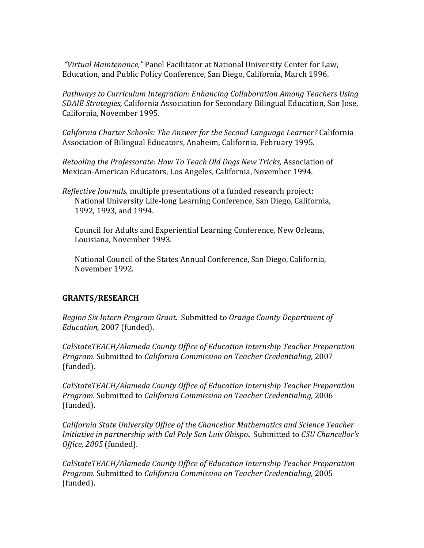"Virtual Maintenance," Panel Facilitator at National University Center for Law, Education, and Public Policy Conference, San Diego, California, March 1996.

Pathways to Curriculum Integration: Enhancing Collaboration Among Teachers Using *SDAIE Strategies, California Association for Secondary Bilingual Education, San Jose,* California, November 1995.

*California Charter Schools: The Answer for the Second Language Learner?* California Association of Bilingual Educators, Anaheim, California, February 1995.

*Retooling the Professorate: How To Teach Old Dogs New Tricks, Association of* Mexican-American Educators, Los Angeles, California, November 1994.

*Reflective Journals,* multiple presentations of a funded research project: National University Life-long Learning Conference, San Diego, California, 1992, 1993, and 1994.

Council for Adults and Experiential Learning Conference, New Orleans, Louisiana, November 1993.

National Council of the States Annual Conference, San Diego, California, November 1992.

# **GRANTS/RESEARCH%**

*Region Six Intern Program Grant.* Submitted to *Orange County Department of* Education, 2007 (funded).

CalStateTEACH/Alameda County Office of Education Internship Teacher Preparation *Program.* Submitted to *California Commission on Teacher Credentialing,* 2007 (funded).

*CalStateTEACH/Alameda!County!Office!of!Education!Internship!Teacher!Preparation! Program.* Submitted to *California Commission on Teacher Credentialing,* 2006 (funded).

*California!State!University!Office!of!the!Chancellor!Mathematics!and!Science!Teacher Initiative in partnership with Cal Poly San Luis Obispo. Submitted to CSU Chancellor's Office, 2005* (funded).

*CalStateTEACH/Alameda County Office of Education Internship Teacher Preparation Program.* Submitted to *California Commission on Teacher Credentialing,* 2005 (funded).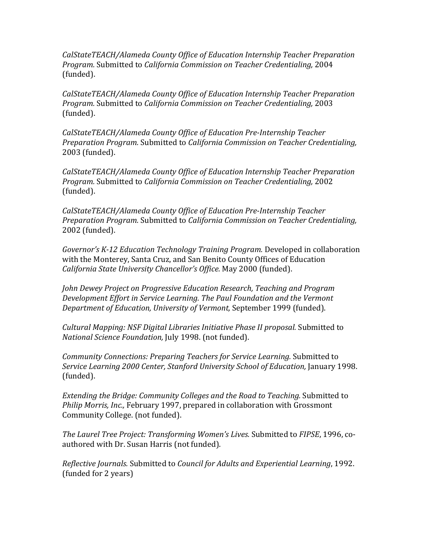*CalStateTEACH/Alameda!County!Office!of!Education!Internship!Teacher!Preparation! Program.* Submitted to *California Commission on Teacher Credentialing,* 2004 (funded).

*CalStateTEACH/Alameda!County!Office!of!Education!Internship!Teacher Preparation! Program.* Submitted to *California Commission on Teacher Credentialing,* 2003 (funded).

CalStateTEACH/Alameda County Office of Education Pre-Internship Teacher *Preparation Program.* Submitted to *California Commission on Teacher Credentialing,* 2003 (funded).

*CalStateTEACH/Alameda!County!Office!of!Education!Internship!Teacher!Preparation! Program.* Submitted to *California Commission on Teacher Credentialing,* 2002 (funded).

*CalStateTEACH/Alameda!County!Office!of!Education!PreJInternship!Teacher! Preparation Program.* Submitted to *California Commission on Teacher Credentialing,* 2002 (funded).

*Governor's K-12 Education Technology Training Program.* Developed in collaboration with the Monterey, Santa Cruz, and San Benito County Offices of Education *California State University Chancellor's Office.* May 2000 (funded).

*John Dewey Project on Progressive Education Research, Teaching and Program* **Development Effort in Service Learning. The Paul Foundation and the Vermont** *Department of Education, University of Vermont, September 1999 (funded).* 

*Cultural Mapping: NSF Digital Libraries Initiative Phase II proposal. Submitted to National Science Foundation, July 1998. (not funded).* 

*Community Connections: Preparing Teachers for Service Learning. Submitted to Service Learning 2000 Center, Stanford University School of Education, January 1998.* (funded).

*Extending the Bridge: Community Colleges and the Road to Teaching. Submitted to Philip Morris, Inc., February 1997, prepared in collaboration with Grossmont* Community College. (not funded).

*The Laurel Tree Project: Transforming Women's Lives.* Submitted to *FIPSE*, 1996, coauthored with Dr. Susan Harris (not funded).

*Reflective Journals.* Submitted to *Council for Adults and Experiential Learning*, 1992. (funded for 2 years)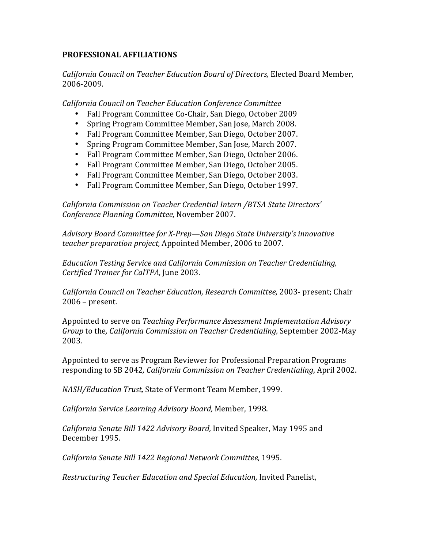# **PROFESSIONAL%AFFILIATIONS**

*California!Council!on!Teacher!Education!Board!of!Directors,* Elected\*Board\*Member,\* 2006-2009.

*California!Council!on!Teacher!Education!Conference!Committee*

- Fall Program Committee Co-Chair, San Diego, October 2009
- Spring Program Committee Member, San Jose, March 2008.
- Fall Program Committee Member, San Diego, October 2007.
- Spring Program Committee Member, San Jose, March 2007.
- Fall Program Committee Member, San Diego, October 2006.
- Fall Program Committee Member, San Diego, October 2005.
- Fall Program Committee Member, San Diego, October 2003.
- Fall Program Committee Member, San Diego, October 1997.

California Commission on Teacher Credential Intern /BTSA State Directors' *Conference!Planning!Committee,* November\*2007.

*Advisory!Board Committee!for!XJPrep—San!Diego!State!University's!innovative! teacher preparation project, Appointed Member, 2006 to 2007.* 

*Education!Testing!Service!and!California!Commission!on!Teacher!Credentialing, Certified Trainer for CalTPA, June 2003.* 

*California Council on Teacher Education, Research Committee, 2003-* present; Chair  $2006$  – present.

Appointed to serve on *Teaching Performance Assessment Implementation Advisory Group* to the, California Commission on Teacher Credentialing, September 2002-May 2003*.*

Appointed to serve as Program Reviewer for Professional Preparation Programs responding to SB 2042, *California Commission on Teacher Credentialing*, April 2002.

*NASH/Education Trust, State of Vermont Team Member, 1999.* 

*California!Service!Learning!Advisory!Board,!*Member,\*1998.

California Senate Bill 1422 Advisory Board, Invited Speaker, May 1995 and December 1995.

*California!Senate!Bill!1422!Regional!Network!Committee,* 1995.

*Restructuring Teacher Education and Special Education, Invited Panelist,*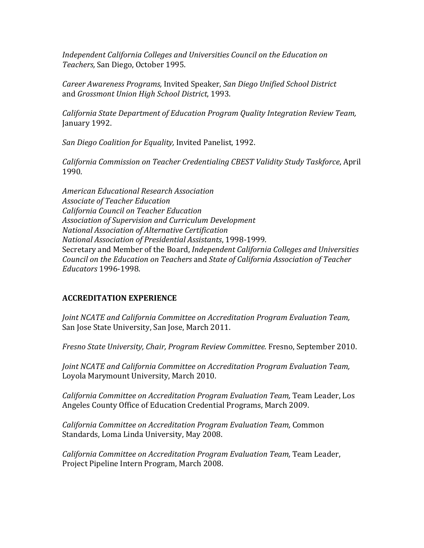Independent California Colleges and Universities Council on the Education on *Teachers,* San\*Diego,\*October\*1995.

*Career!Awareness!Programs,* Invited\*Speaker,\**San!Diego!Unified!School!District* and *Grossmont Union High School District*, 1993.

*California!State!Department!of!Education!Program!Quality!Integration!Review!Team,* January 1992.

*San Diego Coalition for Equality, Invited Panelist, 1992.* 

*California!Commission!on!Teacher!Credentialing!CBEST!Validity!Study!Taskforce*,\*April\* 1990.

*American!Educational!Research!Association!! Associate!of!Teacher!Education California!Council!on!Teacher!Education Association!of!Supervision!and!Curriculum!Development National!Association!of!Alternative!Certification National Association of Presidential Assistants, 1998-1999.* Secretary and Member of the Board, *Independent California Colleges and Universities Council!on!the!Education!on!Teachers* and\**State!of!California!Association!of!Teacher! Educators* 1996-1998.

# **ACCREDITATION%EXPERIENCE**

*Joint NCATE and California Committee on Accreditation Program Evaluation Team,* San Jose State University, San Jose, March 2011.

*Fresno State University, Chair, Program Review Committee. Fresno, September 2010.* 

*Joint NCATE and California Committee on Accreditation Program Evaluation Team,* Loyola Marymount University, March 2010.

*California Committee on Accreditation Program Evaluation Team, Team Leader, Los* Angeles County Office of Education Credential Programs, March 2009.

*California!Committee!on!Accreditation!Program!Evaluation!Team,!*Common\* Standards, Loma Linda University, May 2008.

*California Committee on Accreditation Program Evaluation Team, Team Leader,* Project Pipeline Intern Program, March 2008.